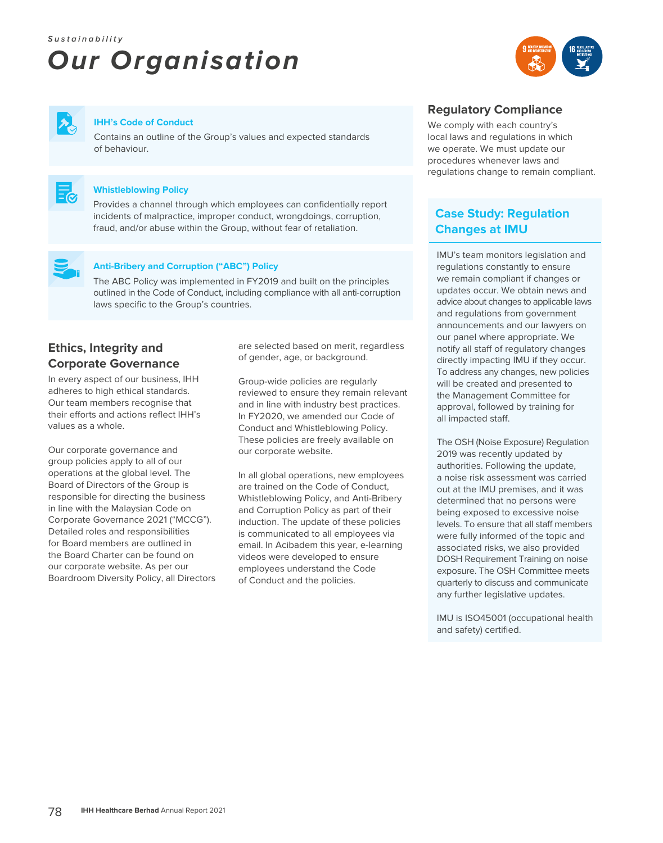# **Sustainability Our Organisation**





#### **IHH's Code of Conduct**

Contains an outline of the Group's values and expected standards of behaviour.



#### **Whistleblowing Policy**

Provides a channel through which employees can confidentially report incidents of malpractice, improper conduct, wrongdoings, corruption, fraud, and/or abuse within the Group, without fear of retaliation.



#### **Anti-Bribery and Corruption ("ABC") Policy**

The ABC Policy was implemented in FY2019 and built on the principles outlined in the Code of Conduct, including compliance with all anti-corruption laws specific to the Group's countries.

## **Ethics, Integrity and Corporate Governance**

In every aspect of our business, IHH adheres to high ethical standards. Our team members recognise that their efforts and actions reflect IHH's values as a whole.

Our corporate governance and group policies apply to all of our operations at the global level. The Board of Directors of the Group is responsible for directing the business in line with the Malaysian Code on Corporate Governance 2021 ("MCCG"). Detailed roles and responsibilities for Board members are outlined in the Board Charter can be found on our corporate website. As per our Boardroom Diversity Policy, all Directors are selected based on merit, regardless of gender, age, or background.

Group-wide policies are regularly reviewed to ensure they remain relevant and in line with industry best practices. In FY2020, we amended our Code of Conduct and Whistleblowing Policy. These policies are freely available on our corporate website.

In all global operations, new employees are trained on the Code of Conduct, Whistleblowing Policy, and Anti-Bribery and Corruption Policy as part of their induction. The update of these policies is communicated to all employees via email. In Acibadem this year, e-learning videos were developed to ensure employees understand the Code of Conduct and the policies.

#### **Regulatory Compliance**

We comply with each country's local laws and regulations in which we operate. We must update our procedures whenever laws and regulations change to remain compliant.

## **Case Study: Regulation Changes at IMU**

IMU's team monitors legislation and regulations constantly to ensure we remain compliant if changes or updates occur. We obtain news and advice about changes to applicable laws and regulations from government announcements and our lawyers on our panel where appropriate. We notify all staff of regulatory changes directly impacting IMU if they occur. To address any changes, new policies will be created and presented to the Management Committee for approval, followed by training for all impacted staff.

The OSH (Noise Exposure) Regulation 2019 was recently updated by authorities. Following the update, a noise risk assessment was carried out at the IMU premises, and it was determined that no persons were being exposed to excessive noise levels. To ensure that all staff members were fully informed of the topic and associated risks, we also provided DOSH Requirement Training on noise exposure. The OSH Committee meets quarterly to discuss and communicate any further legislative updates.

IMU is ISO45001 (occupational health and safety) certified.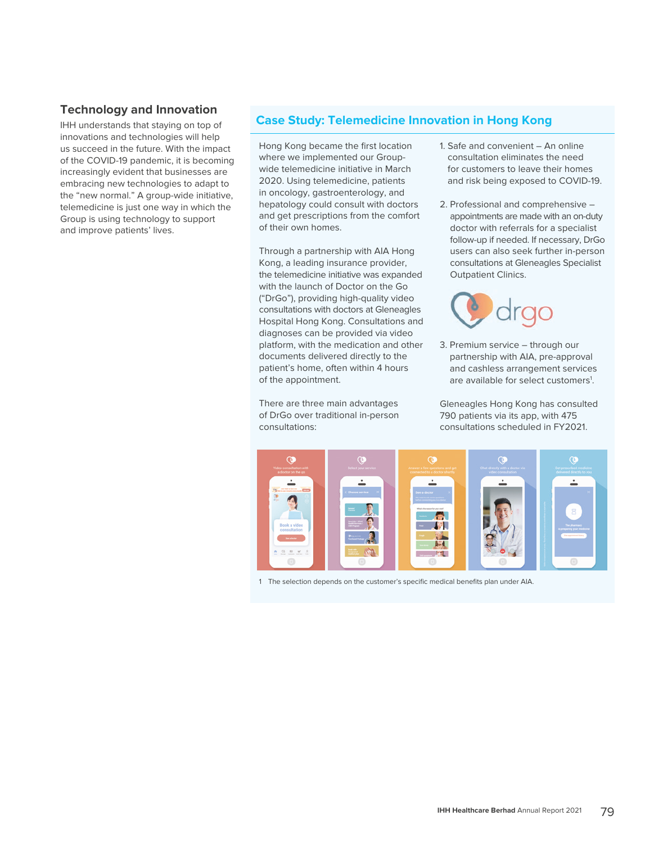#### **Technology and Innovation**

IHH understands that staying on top of innovations and technologies will help us succeed in the future. With the impact of the COVID-19 pandemic, it is becoming increasingly evident that businesses are embracing new technologies to adapt to the "new normal." A group-wide initiative, telemedicine is just one way in which the Group is using technology to support and improve patients' lives.

#### **Case Study: Telemedicine Innovation in Hong Kong**

Hong Kong became the first location where we implemented our Groupwide telemedicine initiative in March 2020. Using telemedicine, patients in oncology, gastroenterology, and hepatology could consult with doctors and get prescriptions from the comfort of their own homes.

Through a partnership with AIA Hong Kong, a leading insurance provider, the telemedicine initiative was expanded with the launch of Doctor on the Go ("DrGo"), providing high-quality video consultations with doctors at Gleneagles Hospital Hong Kong. Consultations and diagnoses can be provided via video platform, with the medication and other documents delivered directly to the patient's home, often within 4 hours of the appointment.

There are three main advantages of DrGo over traditional in-person consultations:

- 1. Safe and convenient An online consultation eliminates the need for customers to leave their homes and risk being exposed to COVID-19.
- 2. Professional and comprehensive appointments are made with an on-duty doctor with referrals for a specialist follow-up if needed. If necessary, DrGo users can also seek further in-person consultations at Gleneagles Specialist Outpatient Clinics.



3. Premium service – through our partnership with AIA, pre-approval and cashless arrangement services are available for select customers<sup>1</sup>.

Gleneagles Hong Kong has consulted 790 patients via its app, with 475 consultations scheduled in FY2021.



1 The selection depends on the customer's specific medical benefits plan under AIA.